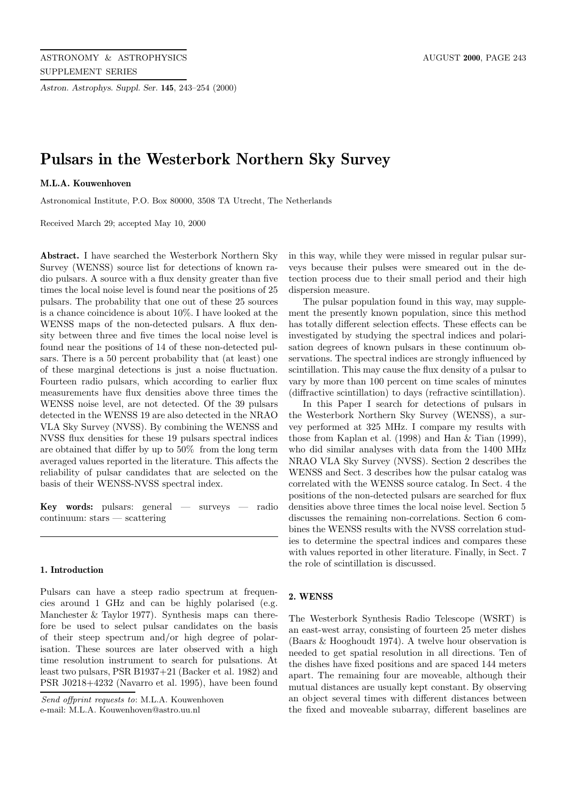*Astron. Astrophys. Suppl. Ser.* **145**, 243–254 (2000)

# **Pulsars in the Westerbork Northern Sky Survey**

## **M.L.A. Kouwenhoven**

Astronomical Institute, P.O. Box 80000, 3508 TA Utrecht, The Netherlands

Received March 29; accepted May 10, 2000

**Abstract.** I have searched the Westerbork Northern Sky Survey (WENSS) source list for detections of known radio pulsars. A source with a flux density greater than five times the local noise level is found near the positions of 25 pulsars. The probability that one out of these 25 sources is a chance coincidence is about 10%. I have looked at the WENSS maps of the non-detected pulsars. A flux density between three and five times the local noise level is found near the positions of 14 of these non-detected pulsars. There is a 50 percent probability that (at least) one of these marginal detections is just a noise fluctuation. Fourteen radio pulsars, which according to earlier flux measurements have flux densities above three times the WENSS noise level, are not detected. Of the 39 pulsars detected in the WENSS 19 are also detected in the NRAO VLA Sky Survey (NVSS). By combining the WENSS and NVSS flux densities for these 19 pulsars spectral indices are obtained that differ by up to 50% from the long term averaged values reported in the literature. This affects the reliability of pulsar candidates that are selected on the basis of their WENSS-NVSS spectral index.

**Key words:** pulsars: general — surveys — radio continuum: stars — scattering

## **1. Introduction**

Pulsars can have a steep radio spectrum at frequencies around 1 GHz and can be highly polarised (e.g. Manchester & Taylor 1977). Synthesis maps can therefore be used to select pulsar candidates on the basis of their steep spectrum and/or high degree of polarisation. These sources are later observed with a high time resolution instrument to search for pulsations. At least two pulsars, PSR B1937+21 (Backer et al. 1982) and PSR J0218+4232 (Navarro et al. 1995), have been found

Send offprint requests to: M.L.A. Kouwenhoven e-mail: M.L.A. Kouwenhoven@astro.uu.nl

in this way, while they were missed in regular pulsar surveys because their pulses were smeared out in the detection process due to their small period and their high dispersion measure.

The pulsar population found in this way, may supplement the presently known population, since this method has totally different selection effects. These effects can be investigated by studying the spectral indices and polarisation degrees of known pulsars in these continuum observations. The spectral indices are strongly influenced by scintillation. This may cause the flux density of a pulsar to vary by more than 100 percent on time scales of minutes (diffractive scintillation) to days (refractive scintillation).

In this Paper I search for detections of pulsars in the Westerbork Northern Sky Survey (WENSS), a survey performed at 325 MHz. I compare my results with those from Kaplan et al. (1998) and Han & Tian (1999), who did similar analyses with data from the 1400 MHz NRAO VLA Sky Survey (NVSS). Section 2 describes the WENSS and Sect. 3 describes how the pulsar catalog was correlated with the WENSS source catalog. In Sect. 4 the positions of the non-detected pulsars are searched for flux densities above three times the local noise level. Section 5 discusses the remaining non-correlations. Section 6 combines the WENSS results with the NVSS correlation studies to determine the spectral indices and compares these with values reported in other literature. Finally, in Sect. 7 the role of scintillation is discussed.

## **2. WENSS**

The Westerbork Synthesis Radio Telescope (WSRT) is an east-west array, consisting of fourteen 25 meter dishes (Baars & Hooghoudt 1974). A twelve hour observation is needed to get spatial resolution in all directions. Ten of the dishes have fixed positions and are spaced 144 meters apart. The remaining four are moveable, although their mutual distances are usually kept constant. By observing an object several times with different distances between the fixed and moveable subarray, different baselines are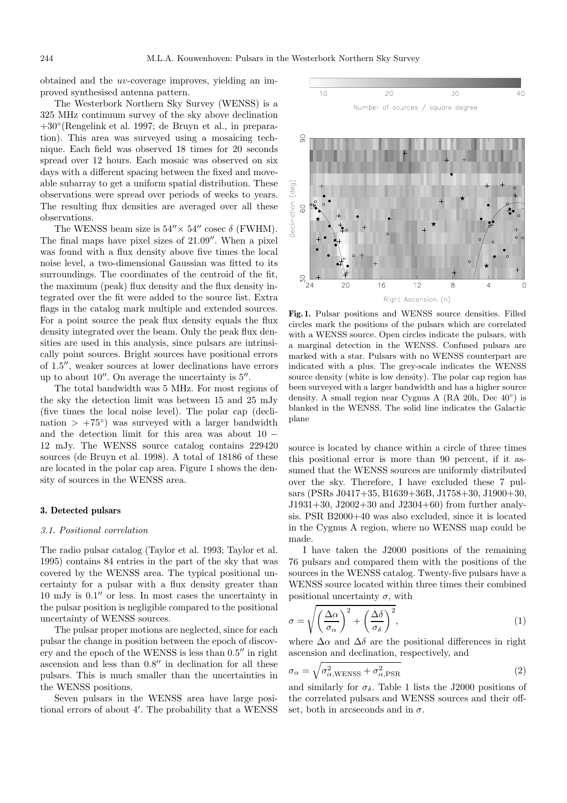obtained and the uv-coverage improves, yielding an improved synthesised antenna pattern.

The Westerbork Northern Sky Survey (WENSS) is a 325 MHz continuum survey of the sky above declination +30◦(Rengelink et al. 1997; de Bruyn et al., in preparation). This area was surveyed using a mosaicing technique. Each field was observed 18 times for 20 seconds spread over 12 hours. Each mosaic was observed on six days with a different spacing between the fixed and moveable subarray to get a uniform spatial distribution. These observations were spread over periods of weeks to years. The resulting flux densities are averaged over all these observations.

The WENSS beam size is  $54'' \times 54''$  cosec  $\delta$  (FWHM). The final maps have pixel sizes of  $21.09''$ . When a pixel was found with a flux density above five times the local noise level, a two-dimensional Gaussian was fitted to its surroundings. The coordinates of the centroid of the fit, the maximum (peak) flux density and the flux density integrated over the fit were added to the source list. Extra flags in the catalog mark multiple and extended sources. For a point source the peak flux density equals the flux density integrated over the beam. Only the peak flux densities are used in this analysis, since pulsars are intrinsically point sources. Bright sources have positional errors of  $1.5$ ", weaker sources at lower declinations have errors up to about  $10''$ . On average the uncertainty is  $5''$ .

The total bandwidth was 5 MHz. For most regions of the sky the detection limit was between 15 and 25 mJy (five times the local noise level). The polar cap (declination >  $+75°$  was surveyed with a larger bandwidth and the detection limit for this area was about 10 − 12 mJy. The WENSS source catalog contains 229420 sources (de Bruyn et al. 1998). A total of 18186 of these are located in the polar cap area. Figure 1 shows the density of sources in the WENSS area.

#### **3. Detected pulsars**

#### 3.1. Positional correlation

The radio pulsar catalog (Taylor et al. 1993; Taylor et al. 1995) contains 84 entries in the part of the sky that was covered by the WENSS area. The typical positional uncertainty for a pulsar with a flux density greater than  $10 \text{ mJy}$  is  $0.1''$  or less. In most cases the uncertainty in the pulsar position is negligible compared to the positional uncertainty of WENSS sources.

The pulsar proper motions are neglected, since for each pulsar the change in position between the epoch of discovery and the epoch of the WENSS is less than  $0.5$ <sup>"</sup> in right ascension and less than  $0.8$ <sup> $\prime\prime$ </sup> in declination for all these pulsars. This is much smaller than the uncertainties in the WENSS positions.

Seven pulsars in the WENSS area have large positional errors of about 4'. The probability that a WENSS





**Fig. 1.** Pulsar positions and WENSS source densities. Filled circles mark the positions of the pulsars which are correlated with a WENSS source. Open circles indicate the pulsars, with a marginal detection in the WENSS. Confused pulsars are marked with a star. Pulsars with no WENSS counterpart are indicated with a plus. The grey-scale indicates the WENSS source density (white is low density). The polar cap region has been surveyed with a larger bandwidth and has a higher source density. A small region near Cygnus A (RA 20h, Dec 40◦) is blanked in the WENSS. The solid line indicates the Galactic plane

source is located by chance within a circle of three times this positional error is more than 90 percent, if it assumed that the WENSS sources are uniformly distributed over the sky. Therefore, I have excluded these 7 pulsars (PSRs J0417+35, B1639+36B, J1758+30, J1900+30, J1931+30, J2002+30 and J2304+60) from further analysis. PSR B2000+40 was also excluded, since it is located in the Cygnus A region, where no WENSS map could be made.

I have taken the J2000 positions of the remaining 76 pulsars and compared them with the positions of the sources in the WENSS catalog. Twenty-five pulsars have a WENSS source located within three times their combined positional uncertainty  $\sigma$ , with

$$
\sigma = \sqrt{\left(\frac{\Delta\alpha}{\sigma_{\alpha}}\right)^{2} + \left(\frac{\Delta\delta}{\sigma_{\delta}}\right)^{2}},\tag{1}
$$

where  $\Delta \alpha$  and  $\Delta \delta$  are the positional differences in right ascension and declination, respectively, and

$$
\sigma_{\alpha} = \sqrt{\sigma_{\alpha, \text{WENSS}}^2 + \sigma_{\alpha, \text{PSR}}^2}
$$
\n(2)

and similarly for  $\sigma_{\delta}$ . Table 1 lists the J2000 positions of the correlated pulsars and WENSS sources and their offset, both in arcseconds and in  $\sigma$ .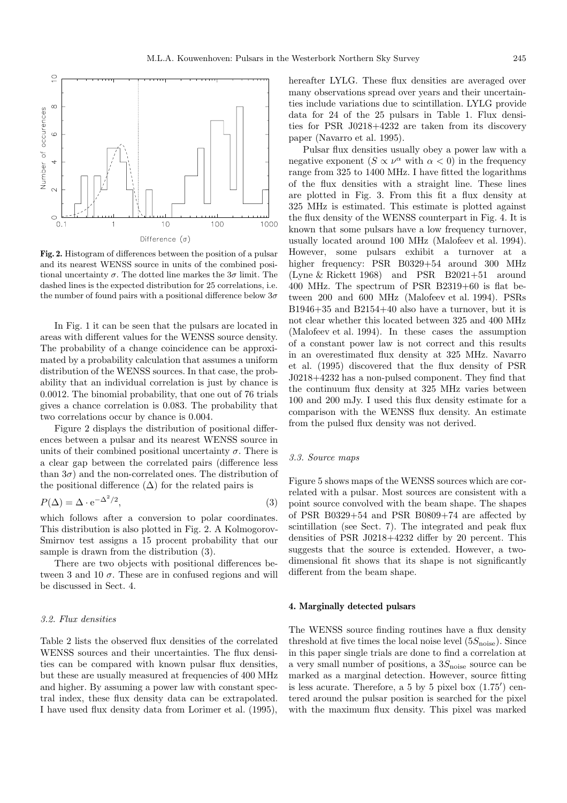

**Fig. 2.** Histogram of differences between the position of a pulsar and its nearest WENSS source in units of the combined positional uncertainty  $\sigma$ . The dotted line markes the  $3\sigma$  limit. The dashed lines is the expected distribution for 25 correlations, i.e. the number of found pairs with a positional difference below  $3\sigma$ 

In Fig. 1 it can be seen that the pulsars are located in areas with different values for the WENSS source density. The probability of a change coincidence can be approximated by a probability calculation that assumes a uniform distribution of the WENSS sources. In that case, the probability that an individual correlation is just by chance is 0.0012. The binomial probability, that one out of 76 trials gives a chance correlation is 0.083. The probability that two correlations occur by chance is 0.004.

Figure 2 displays the distribution of positional differences between a pulsar and its nearest WENSS source in units of their combined positional uncertainty  $\sigma$ . There is a clear gap between the correlated pairs (difference less than  $3\sigma$ ) and the non-correlated ones. The distribution of the positional difference  $(\Delta)$  for the related pairs is

$$
P(\Delta) = \Delta \cdot e^{-\Delta^2/2},\tag{3}
$$

which follows after a conversion to polar coordinates. This distribution is also plotted in Fig. 2. A Kolmogorov-Smirnov test assigns a 15 procent probability that our sample is drawn from the distribution (3).

There are two objects with positional differences between 3 and 10  $\sigma$ . These are in confused regions and will be discussed in Sect. 4.

### 3.2. Flux densities

Table 2 lists the observed flux densities of the correlated WENSS sources and their uncertainties. The flux densities can be compared with known pulsar flux densities, but these are usually measured at frequencies of 400 MHz and higher. By assuming a power law with constant spectral index, these flux density data can be extrapolated. I have used flux density data from Lorimer et al. (1995),

hereafter LYLG. These flux densities are averaged over many observations spread over years and their uncertainties include variations due to scintillation. LYLG provide data for 24 of the 25 pulsars in Table 1. Flux densities for PSR J0218+4232 are taken from its discovery paper (Navarro et al. 1995).

Pulsar flux densities usually obey a power law with a negative exponent  $(S \propto \nu^{\alpha}$  with  $\alpha < 0$ ) in the frequency range from 325 to 1400 MHz. I have fitted the logarithms of the flux densities with a straight line. These lines are plotted in Fig. 3. From this fit a flux density at 325 MHz is estimated. This estimate is plotted against the flux density of the WENSS counterpart in Fig. 4. It is known that some pulsars have a low frequency turnover, usually located around 100 MHz (Malofeev et al. 1994). However, some pulsars exhibit a turnover at a higher frequency: PSR B0329+54 around 300 MHz (Lyne & Rickett 1968) and PSR B2021+51 around 400 MHz. The spectrum of PSR B2319+60 is flat between 200 and 600 MHz (Malofeev et al. 1994). PSRs B1946+35 and B2154+40 also have a turnover, but it is not clear whether this located between 325 and 400 MHz (Malofeev et al. 1994). In these cases the assumption of a constant power law is not correct and this results in an overestimated flux density at 325 MHz. Navarro et al. (1995) discovered that the flux density of PSR J0218+4232 has a non-pulsed component. They find that the continuum flux density at 325 MHz varies between 100 and 200 mJy. I used this flux density estimate for a comparison with the WENSS flux density. An estimate from the pulsed flux density was not derived.

### 3.3. Source maps

Figure 5 shows maps of the WENSS sources which are correlated with a pulsar. Most sources are consistent with a point source convolved with the beam shape. The shapes of PSR B0329+54 and PSR B0809+74 are affected by scintillation (see Sect. 7). The integrated and peak flux densities of PSR J0218+4232 differ by 20 percent. This suggests that the source is extended. However, a twodimensional fit shows that its shape is not significantly different from the beam shape.

#### **4. Marginally detected pulsars**

The WENSS source finding routines have a flux density threshold at five times the local noise level  $(5S_{\text{noise}})$ . Since in this paper single trials are done to find a correlation at a very small number of positions, a  $3S_{\text{noise}}$  source can be marked as a marginal detection. However, source fitting is less acurate. Therefore, a 5 by 5 pixel box  $(1.75)$  centered around the pulsar position is searched for the pixel with the maximum flux density. This pixel was marked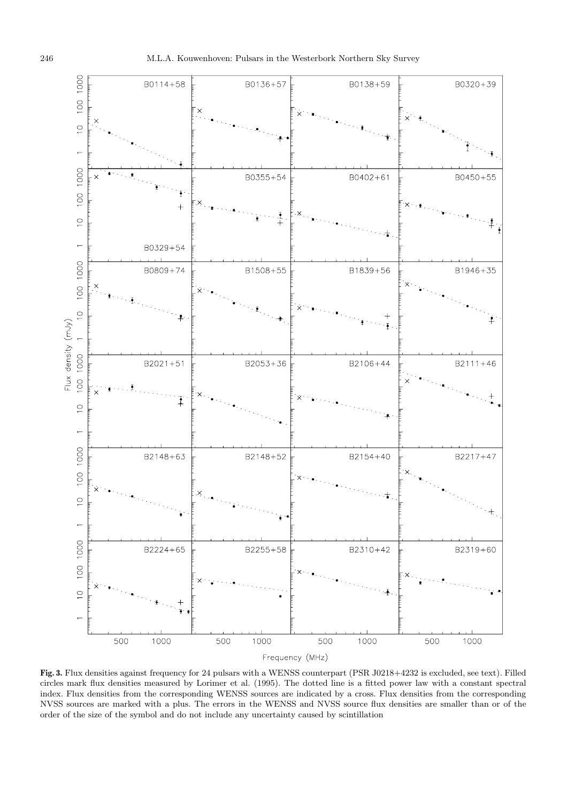

**Fig. 3.** Flux densities against frequency for 24 pulsars with a WENSS counterpart (PSR J0218+4232 is excluded, see text). Filled circles mark flux densities measured by Lorimer et al. (1995). The dotted line is a fitted power law with a constant spectral index. Flux densities from the corresponding WENSS sources are indicated by a cross. Flux densities from the corresponding NVSS sources are marked with a plus. The errors in the WENSS and NVSS source flux densities are smaller than or of the order of the size of the symbol and do not include any uncertainty caused by scintillation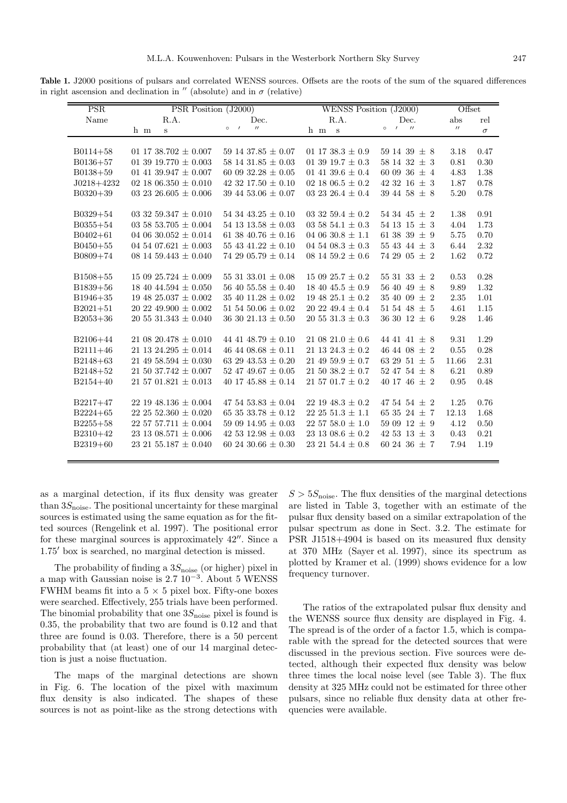**Table 1.** J2000 positions of pulsars and correlated WENSS sources. Offsets are the roots of the sum of the squared differences in right ascension and declination in  $''$  (absolute) and in  $\sigma$  (relative)

| PSR          | PSR Position (J2000)         |                                          | WENSS Position (J2000)   |                                          | Offset            |          |
|--------------|------------------------------|------------------------------------------|--------------------------|------------------------------------------|-------------------|----------|
| Name         | R.A.                         | Dec.                                     | R.A.                     | Dec.                                     | abs               | rel      |
|              | h m<br>S                     | $^{\prime\prime}$<br>$\circ$<br>$\prime$ | h m<br>$\mathbf{s}$      | $\prime$<br>$^{\prime\prime}$<br>$\circ$ | $^{\prime\prime}$ | $\sigma$ |
|              |                              |                                          |                          |                                          |                   |          |
| $B0114 + 58$ | 01 17 38.702 $\pm$ 0.007     | 59 14 37.85 $\pm$ 0.07                   | 01 17 38.3 $\pm$ 0.9     | 59 14 39 $\pm$ 8                         | 3.18              | 0.47     |
| $B0136 + 57$ | 01 39 19.770 $\pm$ 0.003     | 58 14 31.85 $\pm$ 0.03                   | 01 39 19.7 $\pm$ 0.3     | 58 14 32 $\pm$ 3                         | 0.81              | 0.30     |
| $B0138+59$   | 01 41 39.947 $\pm$ 0.007     | 60 09 32.28 $\pm$ 0.05                   | 01 41 39.6 $\pm$ 0.4     | 60 09 36 $\pm$ 4                         | 4.83              | 1.38     |
| $J0218+4232$ | 02 18 06.350 $\pm$ 0.010     | 42 32 17.50 $\pm$ 0.10                   | 02 18 06.5 $\pm$ 0.2     | 42 32 16 $\pm$ 3                         | 1.87              | 0.78     |
| $B0320+39$   | 03 23 26.605 $\pm$ 0.006     | 39 44 53.06 $\pm$ 0.07                   | 03 23 26.4 $\pm$ 0.4     | 39 44 58 $\pm$ 8                         | 5.20              | 0.78     |
|              |                              |                                          |                          |                                          |                   |          |
| $B0329+54$   | 03 32 59.347 $\pm$ 0.010     | 54 34 43.25 $\pm$ 0.10                   | 03 32 59.4 $\pm$ 0.2     | 54 34 45 $\pm$ 2                         | 1.38              | 0.91     |
| $B0355 + 54$ | 03 58 53.705 $\pm$ 0.004     | 54 13 13.58 $\pm$ 0.03                   | 03 58 54.1 $\pm$ 0.3     | 54 13 15 $\pm$ 3                         | 4.04              | 1.73     |
| $B0402 + 61$ | 04 06 30.052 $\pm$ 0.014     | 61 38 40.76 $\pm$ 0.16                   | 04 06 30.8 $\pm$ 1.1     | 61 38 39 $\pm$ 9                         | 5.75              | 0.70     |
| $B0450+55$   | 04 54 07.621 $\pm$ 0.003     | 55 43 41.22 $\pm$ 0.10                   | 04 54 08.3 $\pm$ 0.3     | 55 43 44 $\pm$ 3                         | 6.44              | 2.32     |
| B0809+74     | 08 14 59.443 $\pm$ 0.040     | 74 29 05.79 $\pm$ 0.14                   | 08 14 59.2 $\pm$ 0.6     | 74 29 05 $\pm$ 2                         | 1.62              | 0.72     |
|              |                              |                                          |                          |                                          |                   |          |
| $B1508 + 55$ | $150925.724 \pm 0.009$       | 55 31 33.01 $\pm$ 0.08                   | $150925.7 \pm 0.2$       | 55 31 33 $\pm$ 2                         | 0.53              | 0.28     |
| $B1839+56$   | 18 40 44.594 $\pm$ 0.050     | 56 40 55.58 $\pm$ 0.40                   | 18 40 45.5 $\pm$ 0.9     | 56 40 49 $\pm$ 8                         | 9.89              | 1.32     |
| $B1946+35$   | 19 48 25.037 $\pm$ 0.002     | 35 40 11.28 $\pm$ 0.02                   | 19 48 25.1 $\pm$ 0.2     | $35\;40\;09\;\pm\;2$                     | 2.35              | 1.01     |
| $B2021 + 51$ | $20\ 22\ 49.900\pm\,0.002$   | 51 54 50.06 $\pm$ 0.02                   | $20\;22\;49.4\pm0.4$     | 51 54 48 $\pm$ 5                         | 4.61              | 1.15     |
| $B2053+36$   | $20\;55\;31.343\,\pm\,0.040$ | 36 30 21.13 $\pm$ 0.50                   | $20\,55\,31.3\pm0.3$     | 36 30 12 $\pm$ 6                         | 9.28              | 1.46     |
|              |                              |                                          |                          |                                          |                   |          |
| B2106+44     | $21\;08\;20.478\pm0.010$     | 44 41 48.79 $\pm$ 0.10                   | $21.0821.0 \pm 0.6$      | 44 41 41 $\pm$ 8                         | 9.31              | 1.29     |
| $B2111+46$   | 21 13 24.295 $\pm$ 0.014     | 46 44 08.68 $\pm$ 0.11                   | 21 13 24.3 $\pm$ 0.2     | 46 44 08 $\pm$ 2                         | 0.55              | 0.28     |
| B2148+63     | 21 49 58.594 $\pm$ 0.030     | 63 29 43.53 $\pm$ 0.20                   | 21 49 59.9 $\pm$ 0.7     | 63 29 51 $\pm$ 5                         | 11.66             | 2.31     |
| $B2148+52$   | $21\ 50\ 37.742 \pm 0.007$   | 52 47 49.67 $\pm$ 0.05                   | $21\,50\,38.2\pm0.7$     | 52 47 54 $\pm$ 8                         | 6.21              | 0.89     |
| $B2154+40$   | 21 57 01.821 $\pm$ 0.013     | 40 17 45.88 $\pm$ 0.14                   | 21 57 01.7 $\pm$ 0.2     | 40 17 46 $\pm$ 2                         | 0.95              | 0.48     |
|              |                              |                                          |                          |                                          |                   |          |
| $B2217+47$   | $22\ 19\ 48.136 \pm 0.004$   | 47 54 53.83 $\pm$ 0.04                   | $22\ 19\ 48.3 \pm 0.2$   | 47 54 54 $\pm$ 2                         | 1.25              | 0.76     |
| $B2224 + 65$ | 22 25 52.360 $\pm$ 0.020     | 65 35 33.78 $\pm$ 0.12                   | 22 25 51.3 $\pm$ 1.1     | 65 35 24 $\pm$ 7                         | 12.13             | 1.68     |
| $B2255+58$   | $22\;57\;57.711\pm0.004$     | 59 09 14.95 $\pm$ 0.03                   | $22\;57\;58.0\,\pm\,1.0$ | 59 09 12 $\pm$ 9                         | 4.12              | 0.50     |
| B2310+42     | 23 13 08.571 $\pm$ 0.006     | 42 53 12.98 $\pm$ 0.03                   | 23 13 08.6 $\pm$ 0.2     | 42 53 13 $\pm$ 3                         | 0.43              | 0.21     |
| $B2319+60$   | 23 21 55.187 $\pm$ 0.040     | 60 24 30.66 $\pm$ 0.30                   | $23\;21\;54.4\pm0.8$     | 60 24 36 $\pm$ 7                         | 7.94              | 1.19     |
|              |                              |                                          |                          |                                          |                   |          |

as a marginal detection, if its flux density was greater than  $3S_{\text{noise}}$ . The positional uncertainty for these marginal sources is estimated using the same equation as for the fitted sources (Rengelink et al. 1997). The positional error for these marginal sources is approximately  $42^{\prime\prime}$ . Since a 1.75<sup> $\prime$ </sup> box is searched, no marginal detection is missed.

The probability of finding a  $3S_{\text{noise}}$  (or higher) pixel in a map with Gaussian noise is 2.7 10−<sup>3</sup>. About 5 WENSS FWHM beams fit into a  $5 \times 5$  pixel box. Fifty-one boxes were searched. Effectively, 255 trials have been performed. The binomial probability that one  $3S_{\text{noise}}$  pixel is found is 0.35, the probability that two are found is 0.12 and that three are found is 0.03. Therefore, there is a 50 percent probability that (at least) one of our 14 marginal detection is just a noise fluctuation.

The maps of the marginal detections are shown in Fig. 6. The location of the pixel with maximum flux density is also indicated. The shapes of these sources is not as point-like as the strong detections with  $S > 5S<sub>noise</sub>$ . The flux densities of the marginal detections are listed in Table 3, together with an estimate of the pulsar flux density based on a similar extrapolation of the pulsar spectrum as done in Sect. 3.2. The estimate for PSR J1518+4904 is based on its measured flux density at 370 MHz (Sayer et al. 1997), since its spectrum as plotted by Kramer et al. (1999) shows evidence for a low frequency turnover.

The ratios of the extrapolated pulsar flux density and the WENSS source flux density are displayed in Fig. 4. The spread is of the order of a factor 1.5, which is comparable with the spread for the detected sources that were discussed in the previous section. Five sources were detected, although their expected flux density was below three times the local noise level (see Table 3). The flux density at 325 MHz could not be estimated for three other pulsars, since no reliable flux density data at other frequencies were available.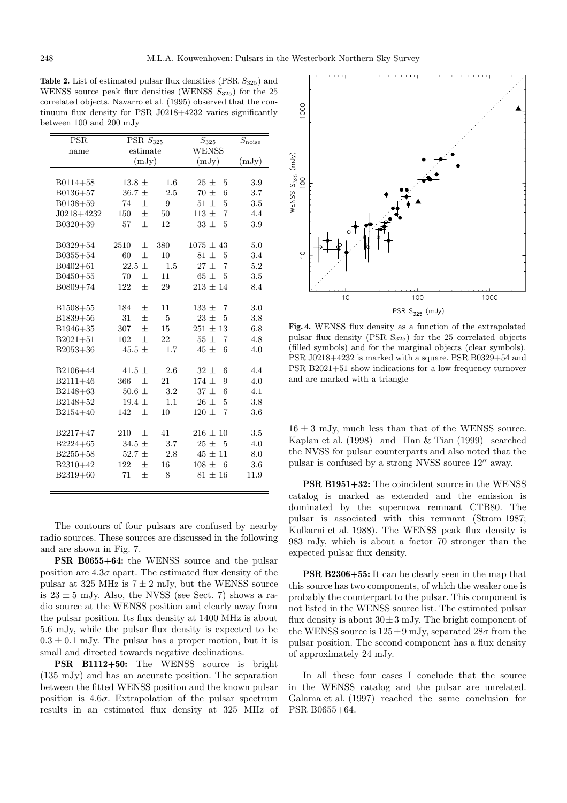**Table 2.** List of estimated pulsar flux densities (PSR  $S_{325}$ ) and WENSS source peak flux densities (WENSS  $S_{325}$ ) for the 25 correlated objects. Navarro et al. (1995) observed that the continuum flux density for PSR J0218+4232 varies significantly between 100 and 200 mJy

|                | PSR<br>$\overline{\mathrm{PSR} S_{325}}$ |     | $\overline{S_{325}}$        | $S_{\rm noise}$ |
|----------------|------------------------------------------|-----|-----------------------------|-----------------|
| name           | estimate                                 |     | <b>WENSS</b>                |                 |
|                | (mJy)                                    |     | (mJy)                       | (mJy)           |
|                |                                          |     |                             |                 |
| $B0114 + 58$   | $13.8 \pm$                               | 1.6 | $25\pm$<br>5                | 3.9             |
| $B0136 + 57$   | $36.7 +$                                 | 2.5 | $70 \pm$<br>6               | 3.7             |
| $B0138 + 59$   | $\pm$<br>74                              | 9   | $51 \pm$<br>5               | 3.5             |
| $J0218 + 4232$ | $\pm$<br>150                             | 50  | $113 \pm$<br>7              | 4.4             |
| $B0320+39$     | 57<br>$^{+}$                             | 12  | $33 \pm$<br>5               | 3.9             |
|                |                                          |     |                             |                 |
| B0329+54       | 2510<br>$^{+}$                           | 380 | $1075 \pm 43$               | 5.0             |
| $B0355 + 54$   | 60<br>$+$                                | 10  | $81 +$<br>5                 | 3.4             |
| $B0402 + 61$   | 22.5<br>士                                | 1.5 | $27~\pm$<br>$\overline{7}$  | $5.2\,$         |
| $B0450+55$     | 70<br>士                                  | 11  | $65\pm$<br>5                | 3.5             |
| B0809+74       | 122<br>$^{+}$                            | 29  | $213 \pm 14$                | 8.4             |
|                |                                          |     |                             |                 |
| $B1508 + 55$   | 184<br>士                                 | 11  | $133 \pm$<br>7              | 3.0             |
| B1839+56       | 31<br>$\pm$                              | 5   | $23 \pm$<br>5               | 3.8             |
| B1946+35       | $\pm$<br>307                             | 15  | $251 \pm 13$                | 6.8             |
| $B2021 + 51$   | 102<br>$^{+}$                            | 22  | $55 \pm$<br>7               | 4.8             |
| $B2053+36$     | $45.5 \pm$                               | 1.7 | 6<br>$45 \pm$               | 4.0             |
|                |                                          |     |                             |                 |
| B2106+44       | $41.5 +$                                 | 2.6 | $32 +$<br>6                 | 4.4             |
| B2111+46       | 366<br>士                                 | 21  | $174 \pm$<br>9              | 4.0             |
| B2148+63       | $50.6 \pm$                               | 3.2 | $37 \pm$<br>6               | 4.1             |
| $B2148+52$     | 19.4 $\pm$                               | 1.1 | 5<br>$26 \pm$               | 3.8             |
| B2154+40       | 142<br>$+$                               | 10  | $120 \pm$<br>$\overline{7}$ | 3.6             |
|                |                                          |     |                             |                 |
| B2217+47       | 210<br>$^{+}$                            | 41  | $216 \pm 10$                | 3.5             |
| B2224+65       | $34.5 \pm$                               | 3.7 | $25\pm$<br>5                | 4.0             |
| $B2255+58$     | 52.7 $\pm$                               | 2.8 | $45 + 11$                   | 8.0             |
| B2310+42       | 122<br>士                                 | 16  | $108 \pm$<br>- 6            | 3.6             |
| B2319+60       | $+$<br>71                                | 8   | $81 \pm 16$                 | 11.9            |
|                |                                          |     |                             |                 |

The contours of four pulsars are confused by nearby radio sources. These sources are discussed in the following and are shown in Fig. 7.

**PSR B0655+64:** the WENSS source and the pulsar position are  $4.3\sigma$  apart. The estimated flux density of the pulsar at 325 MHz is  $7 \pm 2$  mJy, but the WENSS source is  $23 \pm 5$  mJy. Also, the NVSS (see Sect. 7) shows a radio source at the WENSS position and clearly away from the pulsar position. Its flux density at 1400 MHz is about 5.6 mJy, while the pulsar flux density is expected to be  $0.3 \pm 0.1$  mJy. The pulsar has a proper motion, but it is small and directed towards negative declinations.

**PSR B1112+50:** The WENSS source is bright (135 mJy) and has an accurate position. The separation between the fitted WENSS position and the known pulsar position is  $4.6\sigma$ . Extrapolation of the pulsar spectrum results in an estimated flux density at 325 MHz of



**Fig. 4.** WENSS flux density as a function of the extrapolated pulsar flux density (PSR S325) for the 25 correlated objects (filled symbols) and for the marginal objects (clear symbols). PSR J0218+4232 is marked with a square. PSR B0329+54 and PSR B2021+51 show indications for a low frequency turnover and are marked with a triangle

 $16 \pm 3$  mJy, much less than that of the WENSS source. Kaplan et al. (1998) and Han & Tian (1999) searched the NVSS for pulsar counterparts and also noted that the pulsar is confused by a strong NVSS source  $12^{\prime\prime}$  away.

**PSR B1951+32:** The coincident source in the WENSS catalog is marked as extended and the emission is dominated by the supernova remnant CTB80. The pulsar is associated with this remnant (Strom 1987; Kulkarni et al. 1988). The WENSS peak flux density is 983 mJy, which is about a factor 70 stronger than the expected pulsar flux density.

**PSR B2306+55:** It can be clearly seen in the map that this source has two components, of which the weaker one is probably the counterpart to the pulsar. This component is not listed in the WENSS source list. The estimated pulsar flux density is about  $30 \pm 3$  mJy. The bright component of the WENSS source is  $125 \pm 9$  mJy, separated  $28\sigma$  from the pulsar position. The second component has a flux density of approximately 24 mJy.

In all these four cases I conclude that the source in the WENSS catalog and the pulsar are unrelated. Galama et al. (1997) reached the same conclusion for PSR B0655+64.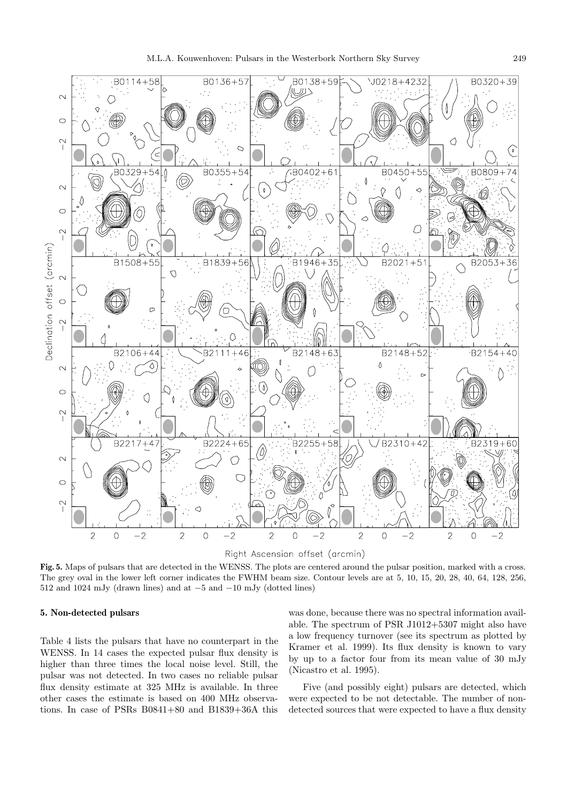

Right Ascension offset (arcmin)

**Fig. 5.** Maps of pulsars that are detected in the WENSS. The plots are centered around the pulsar position, marked with a cross. The grey oval in the lower left corner indicates the FWHM beam size. Contour levels are at 5, 10, 15, 20, 28, 40, 64, 128, 256, 512 and 1024 mJy (drawn lines) and at −5 and −10 mJy (dotted lines)

#### **5. Non-detected pulsars**

Table 4 lists the pulsars that have no counterpart in the WENSS. In 14 cases the expected pulsar flux density is higher than three times the local noise level. Still, the pulsar was not detected. In two cases no reliable pulsar flux density estimate at 325 MHz is available. In three other cases the estimate is based on 400 MHz observations. In case of PSRs B0841+80 and B1839+36A this

was done, because there was no spectral information available. The spectrum of PSR J1012+5307 might also have a low frequency turnover (see its spectrum as plotted by Kramer et al. 1999). Its flux density is known to vary by up to a factor four from its mean value of 30 mJy (Nicastro et al. 1995).

Five (and possibly eight) pulsars are detected, which were expected to be not detectable. The number of nondetected sources that were expected to have a flux density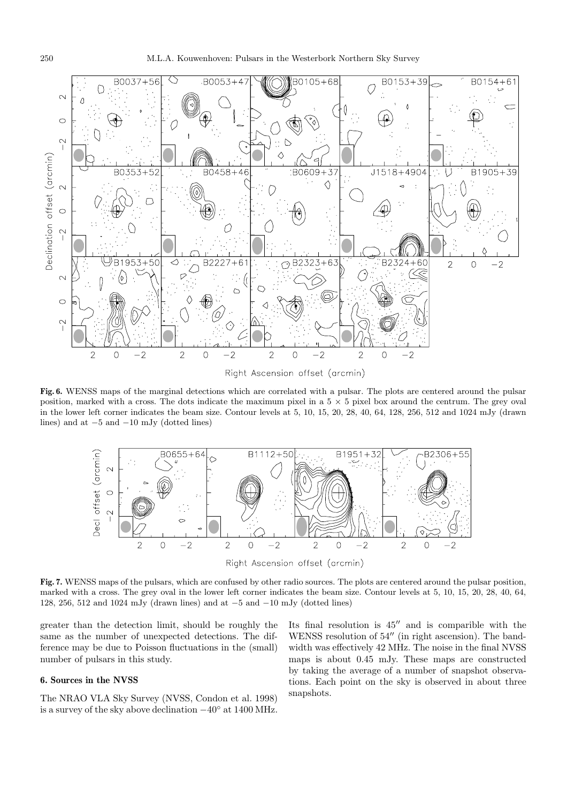

**Fig. 6.** WENSS maps of the marginal detections which are correlated with a pulsar. The plots are centered around the pulsar position, marked with a cross. The dots indicate the maximum pixel in a  $5 \times 5$  pixel box around the centrum. The grey oval in the lower left corner indicates the beam size. Contour levels at 5, 10, 15, 20, 28, 40, 64, 128, 256, 512 and 1024 mJy (drawn lines) and at −5 and −10 mJy (dotted lines)



**Fig. 7.** WENSS maps of the pulsars, which are confused by other radio sources. The plots are centered around the pulsar position, marked with a cross. The grey oval in the lower left corner indicates the beam size. Contour levels at 5, 10, 15, 20, 28, 40, 64, 128, 256, 512 and 1024 mJy (drawn lines) and at −5 and −10 mJy (dotted lines)

greater than the detection limit, should be roughly the same as the number of unexpected detections. The difference may be due to Poisson fluctuations in the (small) number of pulsars in this study.

### **6. Sources in the NVSS**

The NRAO VLA Sky Survey (NVSS, Condon et al. 1998) is a survey of the sky above declination −40◦ at 1400 MHz. Its final resolution is  $45^{\prime\prime}$  and is comparible with the WENSS resolution of  $54^{\prime\prime}$  (in right ascension). The bandwidth was effectively 42 MHz. The noise in the final NVSS maps is about 0.45 mJy. These maps are constructed by taking the average of a number of snapshot observations. Each point on the sky is observed in about three snapshots.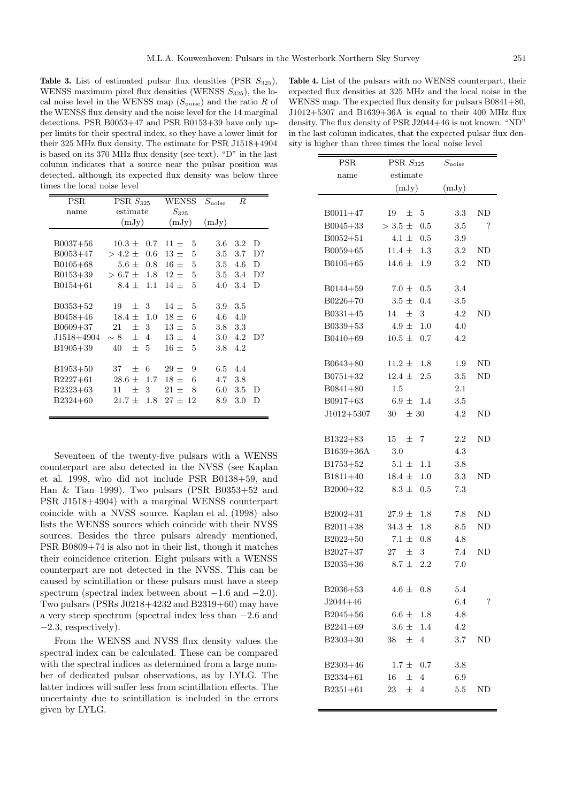**Table 3.** List of estimated pulsar flux densities  $(PSR S_{325})$ , WENSS maximum pixel flux densities (WENSS  $S_{325}$ ), the local noise level in the WENSS map  $(S_{\text{noise}})$  and the ratio R of the WENSS flux density and the noise level for the 14 marginal detections. PSR B0053+47 and PSR B0153+39 have only upper limits for their spectral index, so they have a lower limit for their 325 MHz flux density. The estimate for PSR J1518+4904 is based on its 370 MHz flux density (see text). "D" in the last column indicates that a source near the pulsar position was detected, although its expected flux density was below three times the local noise level

| <b>PSR</b>   | $\overline{\text{PSR}} S_{325}$ | WENSS                    | $S_{\rm noise}$ | R            |
|--------------|---------------------------------|--------------------------|-----------------|--------------|
| name         | estimate                        |                          |                 |              |
|              | (mJy)                           | (mJy)                    | (mJy)           |              |
|              |                                 |                          |                 |              |
| $B0037 + 56$ | $10.3 \pm$<br>0.7               | 5<br>$11 +$              | 3.6             | $3.2\,$<br>D |
| $B0053+47$   | $> 4.2 +$<br>0.6                | 5<br>$13 +$              | 3.5             | 3.7<br>D?    |
| $B0105 + 68$ | $5.6 \pm$<br>0.8                | 5<br>$16 \pm$            | 3.5             | D<br>4.6     |
| $B0153+39$   | $> 6.7 +$<br>1.8                | 5<br>$12 +$              | 3.5             | D?<br>3.4    |
| $B0154 + 61$ | 8.4 $\pm$<br>1.1                | 5<br>$14~\pm$            | 4.0             | 3.4<br>D     |
|              |                                 |                          |                 |              |
| $B0353+52$   | 19<br>3<br>$^{+}$               | 5<br>$14 +$              | 3.9             | 3.5          |
| $B0458 + 46$ | $18.4 \pm$<br>1.0               | 6<br>$18 \pm$            | 4.6             | 4.0          |
| $B0609 + 37$ | 3<br>21<br>$^{+}$               | 5<br>$13 +$              | 3.8             | 3.3          |
| J1518+4904   | $\sim 8$<br>$^{+}$<br>4         | $13 +$<br>$\overline{4}$ | 3.0             | 4.2<br>D?    |
| $B1905+39$   | $^{+}$<br>5<br>40               | 5<br>$16 +$              | 3.8             | 4.2          |
|              |                                 |                          |                 |              |
| B1953+50     | 37<br>6<br>$^{+}$               | $29 +$<br>9              | 6.5             | 4.4          |
| $B2227+61$   | 28.6<br>1.7<br>$^+$             | 6<br>$18 +$              | 4.7             | 3.8          |
| B2323+63     | 3<br>$^{+}$<br>11               | $21 +$<br>8              | 6.0             | 3.5<br>D     |
| $B2324 + 60$ | 1.8<br>$21.7 +$                 | $27 + 12$                | 8.9             | 3.0<br>D     |
|              |                                 |                          |                 |              |

Seventeen of the twenty-five pulsars with a WENSS counterpart are also detected in the NVSS (see Kaplan et al. 1998, who did not include PSR B0138+59, and Han & Tian 1999). Two pulsars (PSR B0353+52 and PSR J1518+4904) with a marginal WENSS counterpart coincide with a NVSS source. Kaplan et al. (1998) also lists the WENSS sources which coincide with their NVSS sources. Besides the three pulsars already mentioned, PSR B0809+74 is also not in their list, though it matches their coincidence criterion. Eight pulsars with a WENSS counterpart are not detected in the NVSS. This can be caused by scintillation or these pulsars must have a steep spectrum (spectral index between about  $-1.6$  and  $-2.0$ ). Two pulsars (PSRs J0218+4232 and B2319+60) may have a very steep spectrum (spectral index less than −2.6 and  $-2.3$ , respectively).

From the WENSS and NVSS flux density values the spectral index can be calculated. These can be compared with the spectral indices as determined from a large number of dedicated pulsar observations, as by LYLG. The latter indices will suffer less from scintillation effects. The uncertainty due to scintillation is included in the errors given by LYLG.

**Table 4.** List of the pulsars with no WENSS counterpart, their expected flux densities at 325 MHz and the local noise in the WENSS map. The expected flux density for pulsars B0841+80.  $J1012+5307$  and  $B1639+36A$  is equal to their 400 MHz flux density. The flux density of PSR J2044+46 is not known. "ND" in the last column indicates, that the expected pulsar flux density is higher than three times the local noise level

| <b>PSR</b>   | PSR $S_{325}$     | $S_{\text{noise}}$ |    |
|--------------|-------------------|--------------------|----|
| name         | estimate          |                    |    |
|              | (mJy)             | (mJy)              |    |
|              |                   |                    |    |
| $B0011+47$   | 5<br>$19 \pm$     | 3.3                | ND |
| $B0045 + 33$ | $> 3.5 \pm 0.5$   | 3.5                | ?  |
| $B0052 + 51$ | $4.1 \pm$<br>0.5  | 3.9                |    |
| B0059+65     | 11.4 $\pm$<br>1.3 | $3.2\,$            | ΝD |
| $B0105 + 65$ | 14.6 $\pm$<br>1.9 | $3.2\,$            | ΝD |
|              |                   |                    |    |
| $B0144 + 59$ | $7.0 \pm 0.5$     | 3.4                |    |
| $B0226+70$   | $3.5 \pm$<br>0.4  | 3.5                |    |
| $B0331 + 45$ | 3<br>14 $\pm$     | 4.2                | ND |
| B0339+53     | 4.9 $\pm$<br>1.0  | 4.0                |    |
| $B0410 + 69$ | $10.5 \pm$<br>0.7 | 4.2                |    |
|              |                   |                    |    |
| $B0643+80$   | $11.2 \pm$<br>1.8 | 1.9                | ΝD |
| $B0751 + 32$ | $12.4 +$<br>2.5   | $3.5\,$            | ND |
| $B0841 + 80$ | 1.5               | 2.1                |    |
| $B0917 + 63$ | $6.9 +$<br>1.4    | 3.5                |    |
| $J1012+5307$ | $30 \pm 30$       | 4.2                | ΝD |
|              |                   |                    |    |
| B1322+83     | 15<br>一土<br>7     | $2.2\,$            | ND |
| B1639+36A    | 3.0               | 4.3                |    |
| $B1753+52$   | $5.1 \pm$<br>1.1  | 3.8                |    |
| $B1811+40$   | 1.0<br>$18.4 \pm$ | 3.3                | ND |
| B2000+32     | $8.3 \pm$<br>0.5  | 7.3                |    |
|              |                   |                    |    |
| $B2002+31$   | $27.9 \pm$<br>1.8 | 7.8                | ΝD |
| $B2011+38$   | $34.3~\pm$<br>1.8 | 8.5                | ΝD |
| $B2022+50$   | 7.1 $\pm$<br>0.8  | 4.8                |    |
| $B2027+37$   | $27 \pm$<br>3     | 7.4                | ND |
| $B2035 + 36$ | 2.2<br>$8.7 +$    | 7.0                |    |
|              |                   |                    |    |
| $B2036+53$   | $4.6 \pm 0.8$     | 5.4                |    |
| $J2044+46$   |                   | 6.4                | ?  |
| $B2045 + 56$ | $6.6 \pm 1.8$     | 4.8                |    |
| $B2241+69$   | $3.6 \pm 1.4$     | 4.2                |    |
| $B2303+30$   | $38 \pm$<br>4     | 3.7                | ΝD |
|              |                   |                    |    |
| $B2303+46$   | $1.7 \pm 0.7$     | 3.8                |    |
| B2334+61     | $16 \pm 4$        | 6.9                |    |
| $B2351 + 61$ | 23<br>4<br>土      | $5.5\,$            | ND |
|              |                   |                    |    |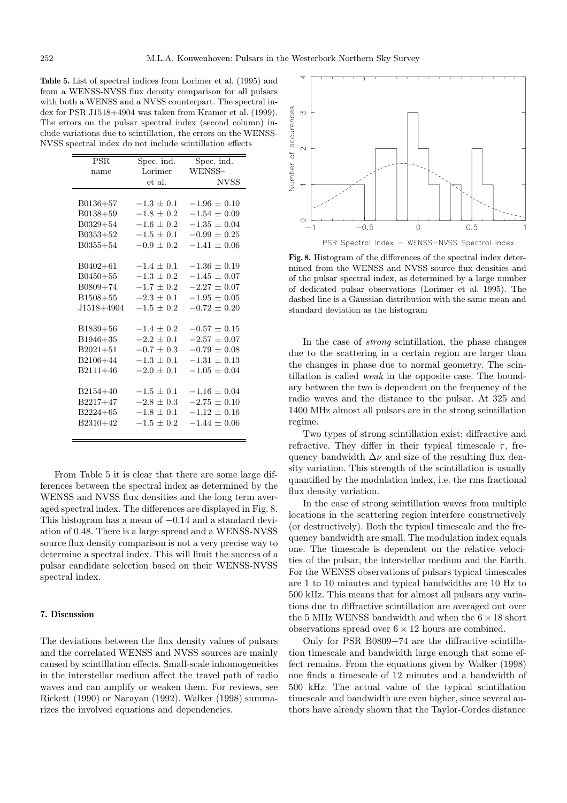**Table 5.** List of spectral indices from Lorimer et al. (1995) and from a WENSS-NVSS flux density comparison for all pulsars with both a WENSS and a NVSS counterpart. The spectral index for PSR J1518+4904 was taken from Kramer et al. (1999). The errors on the pulsar spectral index (second column) include variations due to scintillation, the errors on the WENSS-NVSS spectral index do not include scintillation effects

| PSR.           | Spec. ind.     | Spec. ind.       |  |
|----------------|----------------|------------------|--|
| name           | Lorimer        | WENSS-           |  |
|                | et al.         | <b>NVSS</b>      |  |
|                |                |                  |  |
| $B0136 + 57$   | $-1.3 \pm 0.1$ | $-1.96 \pm 0.10$ |  |
| $B0138 + 59$   | $-1.8 + 0.2$   | $-1.54 \pm 0.09$ |  |
| $B0329 + 54$   | $-1.6 + 0.2$   | $-1.35 \pm 0.04$ |  |
| $B0353+52$     | $-1.5 + 0.1$   | $-0.99 \pm 0.25$ |  |
| $B0355 + 54$   | $-0.9 + 0.2$   | $-1.41 + 0.06$   |  |
|                |                |                  |  |
| $B0402 + 61$   | $-1.4 + 0.1$   | $-1.36 + 0.19$   |  |
| $B0450+55$     | $-1.3 + 0.2$   | $-1.45 + 0.07$   |  |
| $B0809 + 74$   | $-1.7 \pm 0.2$ | $-2.27 \pm 0.07$ |  |
| $B1508 + 55$   | $-2.3 + 0.1$   | $-1.95 + 0.05$   |  |
| $J1518 + 4904$ | $-1.5 + 0.2$   | $-0.72 + 0.20$   |  |
|                |                |                  |  |
| $B1839+56$     | $-1.4 + 0.2$   | $-0.57 \pm 0.15$ |  |
| $B1946 + 35$   | $-2.2 \pm 0.1$ | $-2.57 \pm 0.07$ |  |
| $B2021 + 51$   | $-0.7 \pm 0.3$ | $-0.79 \pm 0.08$ |  |
| $B2106 + 44$   | $-1.3 + 0.1$   | $-1.31 \pm 0.13$ |  |
| $B2111+46$     | $-2.0 + 0.1$   | $-1.05 \pm 0.04$ |  |
|                |                |                  |  |
| $B2154+40$     | $-1.5 + 0.1$   | $-1.16 \pm 0.04$ |  |
| $B2217+47$     | $-2.8 + 0.3$   | $-2.75 \pm 0.10$ |  |
| $B2224 + 65$   | $-1.8 \pm 0.1$ | $-1.12 + 0.16$   |  |
| $B2310+42$     | $-1.5 + 0.2$   | $-1.44 + 0.06$   |  |
|                |                |                  |  |

From Table 5 it is clear that there are some large differences between the spectral index as determined by the WENSS and NVSS flux densities and the long term averaged spectral index. The differences are displayed in Fig. 8. This histogram has a mean of −0.14 and a standard deviation of 0.48. There is a large spread and a WENSS-NVSS source flux density comparison is not a very precise way to determine a spectral index. This will limit the success of a pulsar candidate selection based on their WENSS-NVSS spectral index.

#### **7. Discussion**

The deviations between the flux density values of pulsars and the correlated WENSS and NVSS sources are mainly caused by scintillation effects. Small-scale inhomogeneities in the interstellar medium affect the travel path of radio waves and can amplify or weaken them. For reviews, see Rickett (1990) or Narayan (1992). Walker (1998) summarizes the involved equations and dependencies.



PSR Spectral Index - WENSS-NVSS Spectral Index

**Fig. 8.** Histogram of the differences of the spectral index determined from the WENSS and NVSS source flux densities and of the pulsar spectral index, as determined by a large number of dedicated pulsar observations (Lorimer et al. 1995). The dashed line is a Gaussian distribution with the same mean and standard deviation as the histogram

In the case of strong scintillation, the phase changes due to the scattering in a certain region are larger than the changes in phase due to normal geometry. The scintillation is called *weak* in the opposite case. The boundary between the two is dependent on the frequency of the radio waves and the distance to the pulsar. At 325 and 1400 MHz almost all pulsars are in the strong scintillation regime.

Two types of strong scintillation exist: diffractive and refractive. They differ in their typical timescale  $\tau$ , frequency bandwidth  $\Delta \nu$  and size of the resulting flux density variation. This strength of the scintillation is usually quantified by the modulation index, i.e. the rms fractional flux density variation.

In the case of strong scintillation waves from multiple locations in the scattering region interfere constructively (or destructively). Both the typical timescale and the frequency bandwidth are small. The modulation index equals one. The timescale is dependent on the relative velocities of the pulsar, the interstellar medium and the Earth. For the WENSS observations of pulsars typical timescales are 1 to 10 minutes and typical bandwidths are 10 Hz to 500 kHz. This means that for almost all pulsars any variations due to diffractive scintillation are averaged out over the 5 MHz WENSS bandwidth and when the  $6 \times 18$  short observations spread over  $6 \times 12$  hours are combined.

Only for PSR B0809+74 are the diffractive scintillation timescale and bandwidth large enough that some effect remains. From the equations given by Walker (1998) one finds a timescale of 12 minutes and a bandwidth of 500 kHz. The actual value of the typical scintillation timescale and bandwidth are even higher, since several authors have already shown that the Taylor-Cordes distance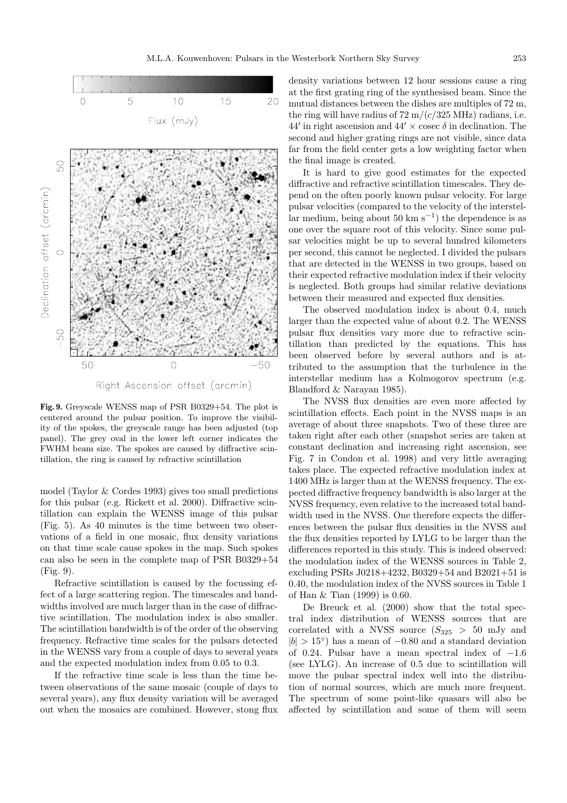

Right Ascension offset (arcmin)

**Fig. 9.** Greyscale WENSS map of PSR B0329+54. The plot is centered around the pulsar position. To improve the visibility of the spokes, the greyscale range has been adjusted (top panel). The grey oval in the lower left corner indicates the FWHM beam size. The spokes are caused by diffractive scintillation, the ring is caused by refractive scintillation

model (Taylor & Cordes 1993) gives too small predictions for this pulsar (e.g. Rickett et al. 2000). Diffractive scintillation can explain the WENSS image of this pulsar (Fig. 5). As 40 minutes is the time between two observations of a field in one mosaic, flux density variations on that time scale cause spokes in the map. Such spokes can also be seen in the complete map of PSR B0329+54 (Fig. 9).

Refractive scintillation is caused by the focussing effect of a large scattering region. The timescales and bandwidths involved are much larger than in the case of diffractive scintillation. The modulation index is also smaller. The scintillation bandwidth is of the order of the observing frequency. Refractive time scales for the pulsars detected in the WENSS vary from a couple of days to several years and the expected modulation index from 0.05 to 0.3.

If the refractive time scale is less than the time between observations of the same mosaic (couple of days to several years), any flux density variation will be averaged out when the mosaics are combined. However, stong flux density variations between 12 hour sessions cause a ring at the first grating ring of the synthesised beam. Since the mutual distances between the dishes are multiples of 72 m, the ring will have radius of  $72 \text{ m}/(c/325 \text{ MHz})$  radians, i.e. 44' in right ascension and 44'  $\times$  cosec  $\delta$  in declination. The second and higher grating rings are not visible, since data far from the field center gets a low weighting factor when the final image is created.

It is hard to give good estimates for the expected diffractive and refractive scintillation timescales. They depend on the often poorly known pulsar velocity. For large pulsar velocities (compared to the velocity of the interstellar medium, being about 50 km s<sup> $-1$ </sup>) the dependence is as one over the square root of this velocity. Since some pulsar velocities might be up to several hundred kilometers per second, this cannot be neglected. I divided the pulsars that are detected in the WENSS in two groups, based on their expected refractive modulation index if their velocity is neglected. Both groups had similar relative deviations between their measured and expected flux densities.

The observed modulation index is about 0.4, much larger than the expected value of about 0.2. The WENSS pulsar flux densities vary more due to refractive scintillation than predicted by the equations. This has been observed before by several authors and is attributed to the assumption that the turbulence in the interstellar medium has a Kolmogorov spectrum (e.g. Blandford & Narayan 1985).

The NVSS flux densities are even more affected by scintillation effects. Each point in the NVSS maps is an average of about three snapshots. Two of these three are taken right after each other (snapshot series are taken at constant declination and increasing right ascension, see Fig. 7 in Condon et al. 1998) and very little averaging takes place. The expected refractive modulation index at 1400 MHz is larger than at the WENSS frequency. The expected diffractive frequency bandwidth is also larger at the NVSS frequency, even relative to the increased total bandwidth used in the NVSS. One therefore expects the differences between the pulsar flux densities in the NVSS and the flux densities reported by LYLG to be larger than the differences reported in this study. This is indeed observed: the modulation index of the WENSS sources in Table 2, excluding PSRs J0218+4232, B0329+54 and B2021+51 is 0.40, the modulation index of the NVSS sources in Table 1 of Han & Tian (1999) is 0.60.

De Breuck et al. (2000) show that the total spectral index distribution of WENSS sources that are correlated with a NVSS source  $(S_{325} > 50$  mJy and  $|b| > 15°$  has a mean of  $-0.80$  and a standard deviation of 0.24. Pulsar have a mean spectral index of  $-1.6$ (see LYLG). An increase of 0.5 due to scintillation will move the pulsar spectral index well into the distribution of normal sources, which are much more frequent. The spectrum of some point-like quasars will also be affected by scintillation and some of them will seem